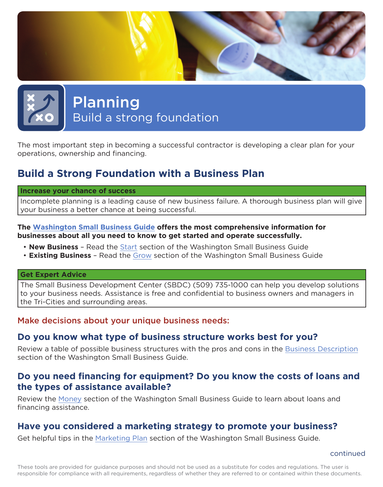

# Planning Build a strong foundation

The most important step in becoming a successful contractor is developing a clear plan for your operations, ownership and financing.

## **Build a Strong Foundation with a Business Plan**

#### **Increase your chance of success**

Incomplete planning is a leading cause of new business failure. A thorough business plan will give your business a better chance at being successful.

#### **The [Washington Small Business Guide](http://business.wa.gov/) offers the most comprehensive information for businesses about all you need to know to get started and operate successfully.**

- **New Business** Read the [Start](http://business.wa.gov/start.html) section of the Washington Small Business Guide
- **Existing Business** Read the [Grow](http://business.wa.gov/start.html) section of the Washington Small Business Guide

#### **Get Expert Advice**

The Small Business Development Center (SBDC) (509) 735-1000 can help you develop solutions to your business needs. Assistance is free and confidential to business owners and managers in the Tri-Cities and surrounding areas.

#### Make decisions about your unique business needs:

#### **Do you know what type of business structure works best for you?**

Review a table of possible business structures with the pros and cons in the [Business Description](http://business.wa.gov/plan.html#BusinessDescription) section of the Washington Small Business Guide.

## **Do you need financing for equipment? Do you know the costs of loans and the types of assistance available?**

Review the [Money](http://business.wa.gov/grow.html#Money) section of the Washington Small Business Guide to learn about loans and financing assistance.

## **Have you considered a marketing strategy to promote your business?**

Get helpful tips in the [Marketing Plan](http://business.wa.gov/plan.html#MarketPlan) section of the Washington Small Business Guide.

continued